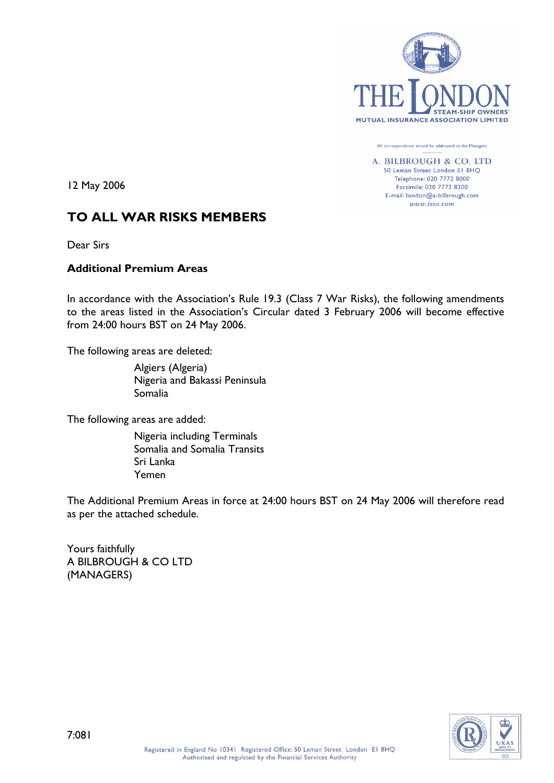

All correspondence should be addressed to the Managers

A. BILBROUGH & CO. LTD 50 Leman Street London El 8HO Telephone: 020 7772 8000 Facsimile: 020 7772 8200 E-mail: london@a-bilbrough.com www.lsso.com

12 May 2006

# TO ALL WAR RISKS MEMBERS

Dear Sirs

## Additional Premium Areas

In accordance with the Association's Rule 19.3 (Class 7 War Risks), the following amendments to the areas listed in the Association's Circular dated 3 February 2006 will become effective from 24:00 hours BST on 24 May 2006.

The following areas are deleted:

Algiers (Algeria) Nigeria and Bakassi Peninsula Somalia

The following areas are added:

Nigeria including Terminals Somalia and Somalia Transits Sri Lanka Yemen

The Additional Premium Areas in force at 24:00 hours BST on 24 May 2006 will therefore read as per the attached schedule.

Yours faithfully A BILBROUGH & CO LTD (MANAGERS)